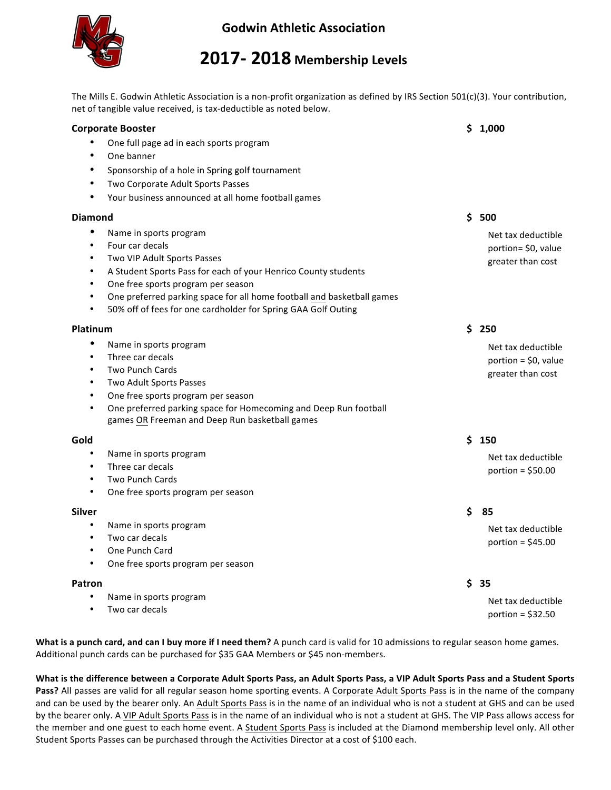

## **Godwin Athletic Association**

## **2017- 2018 Membership Levels**

The Mills E. Godwin Athletic Association is a non-profit organization as defined by IRS Section 501(c)(3). Your contribution, net of tangible value received, is tax-deductible as noted below.

| <b>Corporate Booster</b>                                                            | \$1,000               |
|-------------------------------------------------------------------------------------|-----------------------|
| One full page ad in each sports program                                             |                       |
| One banner                                                                          |                       |
| $\bullet$<br>Sponsorship of a hole in Spring golf tournament                        |                       |
| Two Corporate Adult Sports Passes<br>$\bullet$                                      |                       |
| Your business announced at all home football games                                  |                       |
| <b>Diamond</b>                                                                      | \$<br>500             |
| $\bullet$<br>Name in sports program                                                 | Net tax deductible    |
| Four car decals<br>$\bullet$                                                        | portion= \$0, value   |
| Two VIP Adult Sports Passes<br>$\bullet$                                            | greater than cost     |
| A Student Sports Pass for each of your Henrico County students<br>$\bullet$         |                       |
| One free sports program per season<br>$\bullet$                                     |                       |
| One preferred parking space for all home football and basketball games<br>$\bullet$ |                       |
| 50% off of fees for one cardholder for Spring GAA Golf Outing                       |                       |
| Platinum                                                                            | \$250                 |
| ٠<br>Name in sports program                                                         | Net tax deductible    |
| Three car decals<br>$\bullet$                                                       | portion = $$0,$ value |
| <b>Two Punch Cards</b><br>$\bullet$                                                 | greater than cost     |
| Two Adult Sports Passes<br>$\bullet$                                                |                       |
| One free sports program per season<br>$\bullet$                                     |                       |
| One preferred parking space for Homecoming and Deep Run football<br>$\bullet$       |                       |
| games OR Freeman and Deep Run basketball games                                      |                       |
| Gold                                                                                | \$150                 |
| $\bullet$<br>Name in sports program                                                 | Net tax deductible    |
| Three car decals<br>$\bullet$                                                       | portion = $$50.00$    |
| <b>Two Punch Cards</b><br>$\bullet$                                                 |                       |
| One free sports program per season<br>$\bullet$                                     |                       |
| <b>Silver</b>                                                                       | \$<br>85              |
| $\bullet$<br>Name in sports program                                                 | Net tax deductible    |
| Two car decals<br>$\bullet$                                                         | portion = $$45.00$    |
| One Punch Card<br>$\bullet$                                                         |                       |
| One free sports program per season<br>٠                                             |                       |
| Patron                                                                              | \$<br>35              |
| Name in sports program                                                              | Net tax deductible    |
| Two car decals                                                                      | portion = $$32.50$    |

What is a punch card, and can I buy more if I need them? A punch card is valid for 10 admissions to regular season home games. Additional punch cards can be purchased for \$35 GAA Members or \$45 non-members.

What is the difference between a Corporate Adult Sports Pass, an Adult Sports Pass, a VIP Adult Sports Pass and a Student Sports Pass? All passes are valid for all regular season home sporting events. A Corporate Adult Sports Pass is in the name of the company and can be used by the bearer only. An Adult Sports Pass is in the name of an individual who is not a student at GHS and can be used by the bearer only. A VIP Adult Sports Pass is in the name of an individual who is not a student at GHS. The VIP Pass allows access for the member and one guest to each home event. A Student Sports Pass is included at the Diamond membership level only. All other Student Sports Passes can be purchased through the Activities Director at a cost of \$100 each.